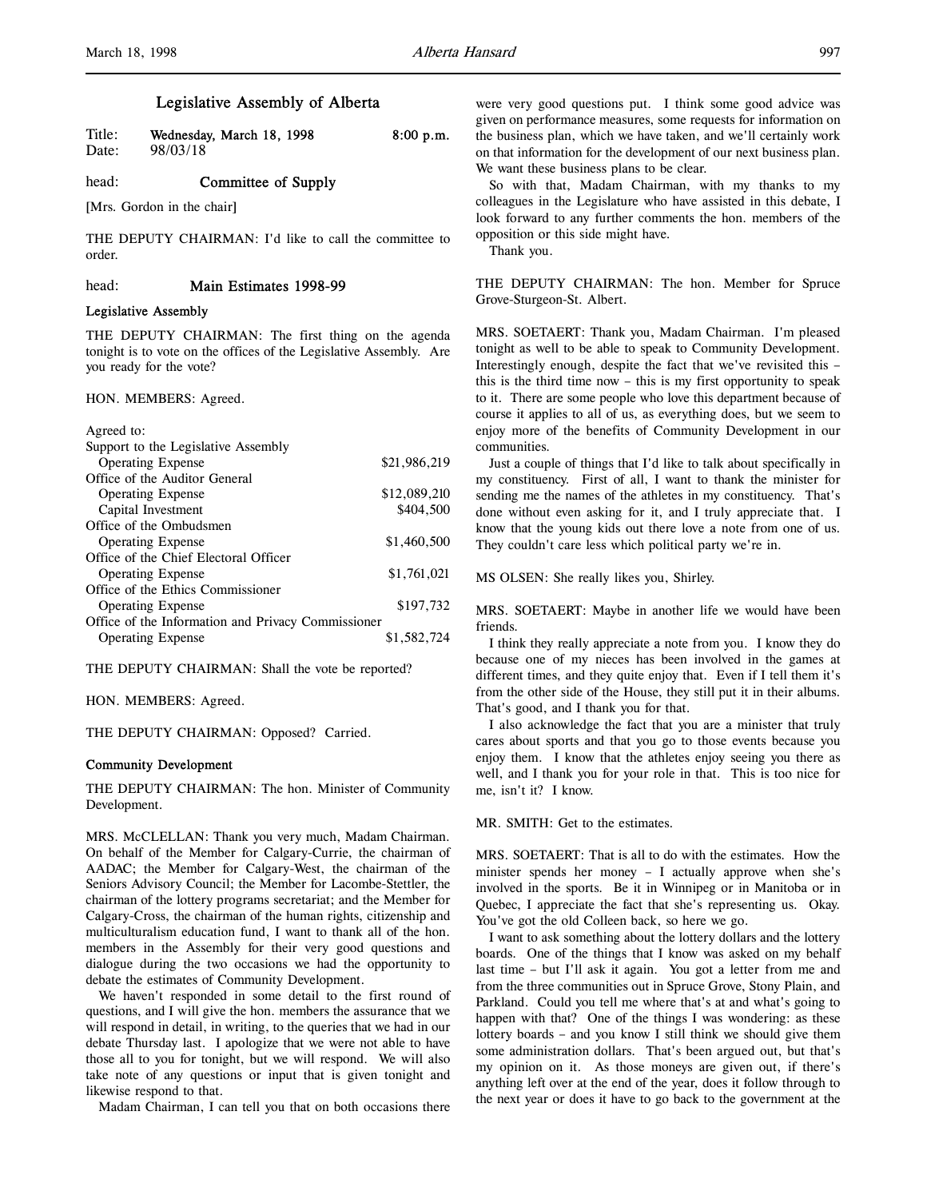# Legislative Assembly of Alberta

| Title: | Wednesday, March 18, 1998 | $8:00$ p.m. |
|--------|---------------------------|-------------|
| Date:  | 98/03/18                  |             |

# head: **Committee of Supply**

[Mrs. Gordon in the chair]

THE DEPUTY CHAIRMAN: I'd like to call the committee to order.

head: Main Estimates 1998-99

## Legislative Assembly

THE DEPUTY CHAIRMAN: The first thing on the agenda tonight is to vote on the offices of the Legislative Assembly. Are you ready for the vote?

#### HON. MEMBERS: Agreed.

| Agreed to:                                         |              |
|----------------------------------------------------|--------------|
| Support to the Legislative Assembly                |              |
| <b>Operating Expense</b>                           | \$21,986,219 |
| Office of the Auditor General                      |              |
| <b>Operating Expense</b>                           | \$12,089,210 |
| Capital Investment                                 | \$404,500    |
| Office of the Ombudsmen                            |              |
| <b>Operating Expense</b>                           | \$1,460,500  |
| Office of the Chief Electoral Officer              |              |
| <b>Operating Expense</b>                           | \$1,761,021  |
| Office of the Ethics Commissioner                  |              |
| <b>Operating Expense</b>                           | \$197,732    |
| Office of the Information and Privacy Commissioner |              |
| <b>Operating Expense</b>                           | \$1,582,724  |

THE DEPUTY CHAIRMAN: Shall the vote be reported?

HON. MEMBERS: Agreed.

THE DEPUTY CHAIRMAN: Opposed? Carried.

## Community Development

THE DEPUTY CHAIRMAN: The hon. Minister of Community Development.

MRS. McCLELLAN: Thank you very much, Madam Chairman. On behalf of the Member for Calgary-Currie, the chairman of AADAC; the Member for Calgary-West, the chairman of the Seniors Advisory Council; the Member for Lacombe-Stettler, the chairman of the lottery programs secretariat; and the Member for Calgary-Cross, the chairman of the human rights, citizenship and multiculturalism education fund, I want to thank all of the hon. members in the Assembly for their very good questions and dialogue during the two occasions we had the opportunity to debate the estimates of Community Development.

We haven't responded in some detail to the first round of questions, and I will give the hon. members the assurance that we will respond in detail, in writing, to the queries that we had in our debate Thursday last. I apologize that we were not able to have those all to you for tonight, but we will respond. We will also take note of any questions or input that is given tonight and likewise respond to that.

Madam Chairman, I can tell you that on both occasions there

were very good questions put. I think some good advice was given on performance measures, some requests for information on the business plan, which we have taken, and we'll certainly work on that information for the development of our next business plan. We want these business plans to be clear.

So with that, Madam Chairman, with my thanks to my colleagues in the Legislature who have assisted in this debate, I look forward to any further comments the hon. members of the opposition or this side might have.

Thank you.

THE DEPUTY CHAIRMAN: The hon. Member for Spruce Grove-Sturgeon-St. Albert.

MRS. SOETAERT: Thank you, Madam Chairman. I'm pleased tonight as well to be able to speak to Community Development. Interestingly enough, despite the fact that we've revisited this – this is the third time now – this is my first opportunity to speak to it. There are some people who love this department because of course it applies to all of us, as everything does, but we seem to enjoy more of the benefits of Community Development in our communities.

Just a couple of things that I'd like to talk about specifically in my constituency. First of all, I want to thank the minister for sending me the names of the athletes in my constituency. That's done without even asking for it, and I truly appreciate that. I know that the young kids out there love a note from one of us. They couldn't care less which political party we're in.

MS OLSEN: She really likes you, Shirley.

MRS. SOETAERT: Maybe in another life we would have been friends.

I think they really appreciate a note from you. I know they do because one of my nieces has been involved in the games at different times, and they quite enjoy that. Even if I tell them it's from the other side of the House, they still put it in their albums. That's good, and I thank you for that.

I also acknowledge the fact that you are a minister that truly cares about sports and that you go to those events because you enjoy them. I know that the athletes enjoy seeing you there as well, and I thank you for your role in that. This is too nice for me, isn't it? I know.

## MR. SMITH: Get to the estimates.

MRS. SOETAERT: That is all to do with the estimates. How the minister spends her money – I actually approve when she's involved in the sports. Be it in Winnipeg or in Manitoba or in Quebec, I appreciate the fact that she's representing us. Okay. You've got the old Colleen back, so here we go.

I want to ask something about the lottery dollars and the lottery boards. One of the things that I know was asked on my behalf last time – but I'll ask it again. You got a letter from me and from the three communities out in Spruce Grove, Stony Plain, and Parkland. Could you tell me where that's at and what's going to happen with that? One of the things I was wondering: as these lottery boards – and you know I still think we should give them some administration dollars. That's been argued out, but that's my opinion on it. As those moneys are given out, if there's anything left over at the end of the year, does it follow through to the next year or does it have to go back to the government at the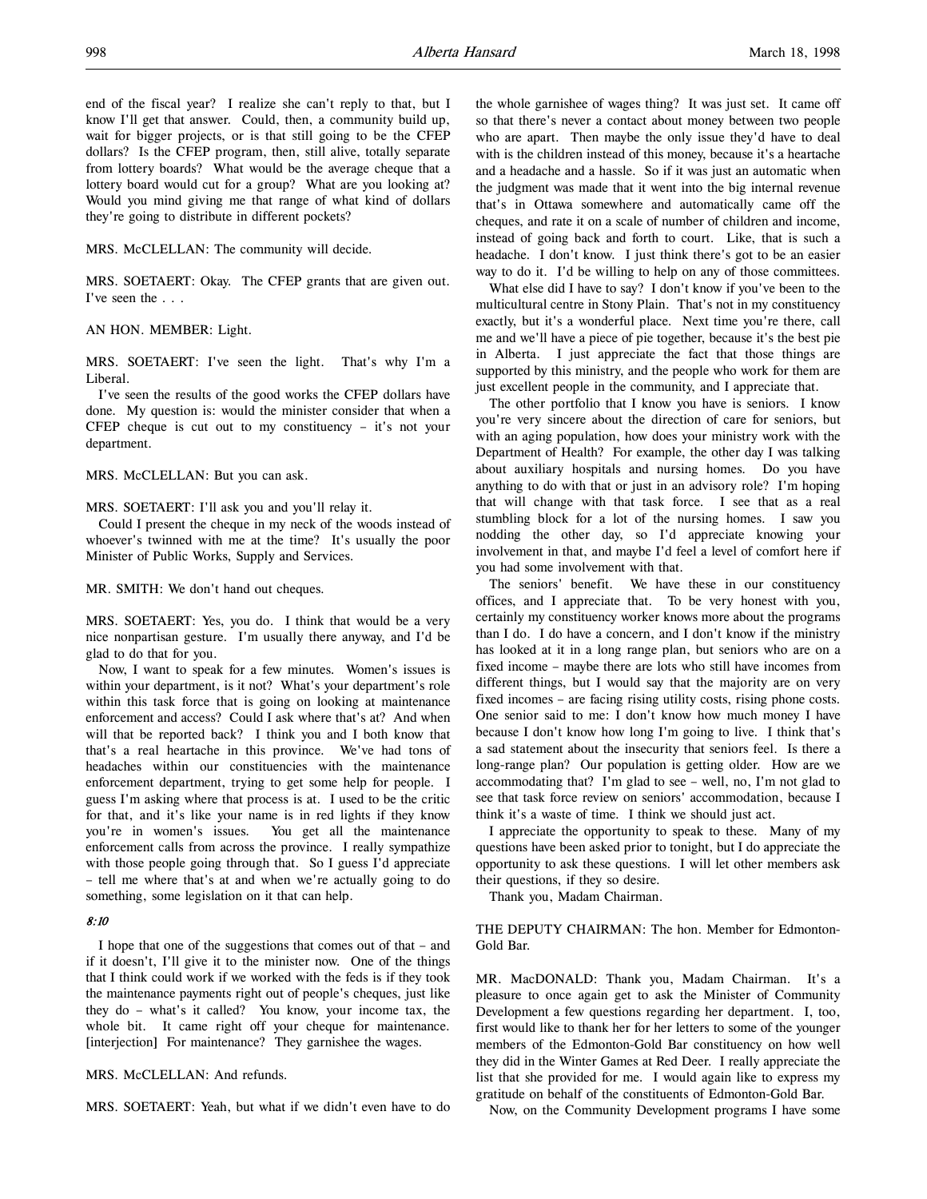end of the fiscal year? I realize she can't reply to that, but I know I'll get that answer. Could, then, a community build up, wait for bigger projects, or is that still going to be the CFEP dollars? Is the CFEP program, then, still alive, totally separate from lottery boards? What would be the average cheque that a lottery board would cut for a group? What are you looking at? Would you mind giving me that range of what kind of dollars they're going to distribute in different pockets?

MRS. McCLELLAN: The community will decide.

MRS. SOETAERT: Okay. The CFEP grants that are given out. I've seen the . . .

### AN HON. MEMBER: Light.

MRS. SOETAERT: I've seen the light. That's why I'm a Liberal.

I've seen the results of the good works the CFEP dollars have done. My question is: would the minister consider that when a CFEP cheque is cut out to my constituency – it's not your department.

MRS. McCLELLAN: But you can ask.

MRS. SOETAERT: I'll ask you and you'll relay it.

Could I present the cheque in my neck of the woods instead of whoever's twinned with me at the time? It's usually the poor Minister of Public Works, Supply and Services.

MR. SMITH: We don't hand out cheques.

MRS. SOETAERT: Yes, you do. I think that would be a very nice nonpartisan gesture. I'm usually there anyway, and I'd be glad to do that for you.

Now, I want to speak for a few minutes. Women's issues is within your department, is it not? What's your department's role within this task force that is going on looking at maintenance enforcement and access? Could I ask where that's at? And when will that be reported back? I think you and I both know that that's a real heartache in this province. We've had tons of headaches within our constituencies with the maintenance enforcement department, trying to get some help for people. I guess I'm asking where that process is at. I used to be the critic for that, and it's like your name is in red lights if they know you're in women's issues. You get all the maintenance enforcement calls from across the province. I really sympathize with those people going through that. So I guess I'd appreciate – tell me where that's at and when we're actually going to do something, some legislation on it that can help.

## 8:10

I hope that one of the suggestions that comes out of that – and if it doesn't, I'll give it to the minister now. One of the things that I think could work if we worked with the feds is if they took the maintenance payments right out of people's cheques, just like they do – what's it called? You know, your income tax, the whole bit. It came right off your cheque for maintenance. [interjection] For maintenance? They garnishee the wages.

MRS. McCLELLAN: And refunds.

MRS. SOETAERT: Yeah, but what if we didn't even have to do

the whole garnishee of wages thing? It was just set. It came off so that there's never a contact about money between two people who are apart. Then maybe the only issue they'd have to deal with is the children instead of this money, because it's a heartache and a headache and a hassle. So if it was just an automatic when the judgment was made that it went into the big internal revenue that's in Ottawa somewhere and automatically came off the cheques, and rate it on a scale of number of children and income, instead of going back and forth to court. Like, that is such a headache. I don't know. I just think there's got to be an easier way to do it. I'd be willing to help on any of those committees.

What else did I have to say? I don't know if you've been to the multicultural centre in Stony Plain. That's not in my constituency exactly, but it's a wonderful place. Next time you're there, call me and we'll have a piece of pie together, because it's the best pie in Alberta. I just appreciate the fact that those things are supported by this ministry, and the people who work for them are just excellent people in the community, and I appreciate that.

The other portfolio that I know you have is seniors. I know you're very sincere about the direction of care for seniors, but with an aging population, how does your ministry work with the Department of Health? For example, the other day I was talking about auxiliary hospitals and nursing homes. Do you have anything to do with that or just in an advisory role? I'm hoping that will change with that task force. I see that as a real stumbling block for a lot of the nursing homes. I saw you nodding the other day, so I'd appreciate knowing your involvement in that, and maybe I'd feel a level of comfort here if you had some involvement with that.

The seniors' benefit. We have these in our constituency offices, and I appreciate that. To be very honest with you, certainly my constituency worker knows more about the programs than I do. I do have a concern, and I don't know if the ministry has looked at it in a long range plan, but seniors who are on a fixed income – maybe there are lots who still have incomes from different things, but I would say that the majority are on very fixed incomes – are facing rising utility costs, rising phone costs. One senior said to me: I don't know how much money I have because I don't know how long I'm going to live. I think that's a sad statement about the insecurity that seniors feel. Is there a long-range plan? Our population is getting older. How are we accommodating that? I'm glad to see – well, no, I'm not glad to see that task force review on seniors' accommodation, because I think it's a waste of time. I think we should just act.

I appreciate the opportunity to speak to these. Many of my questions have been asked prior to tonight, but I do appreciate the opportunity to ask these questions. I will let other members ask their questions, if they so desire.

Thank you, Madam Chairman.

THE DEPUTY CHAIRMAN: The hon. Member for Edmonton-Gold Bar.

MR. MacDONALD: Thank you, Madam Chairman. It's a pleasure to once again get to ask the Minister of Community Development a few questions regarding her department. I, too, first would like to thank her for her letters to some of the younger members of the Edmonton-Gold Bar constituency on how well they did in the Winter Games at Red Deer. I really appreciate the list that she provided for me. I would again like to express my gratitude on behalf of the constituents of Edmonton-Gold Bar.

Now, on the Community Development programs I have some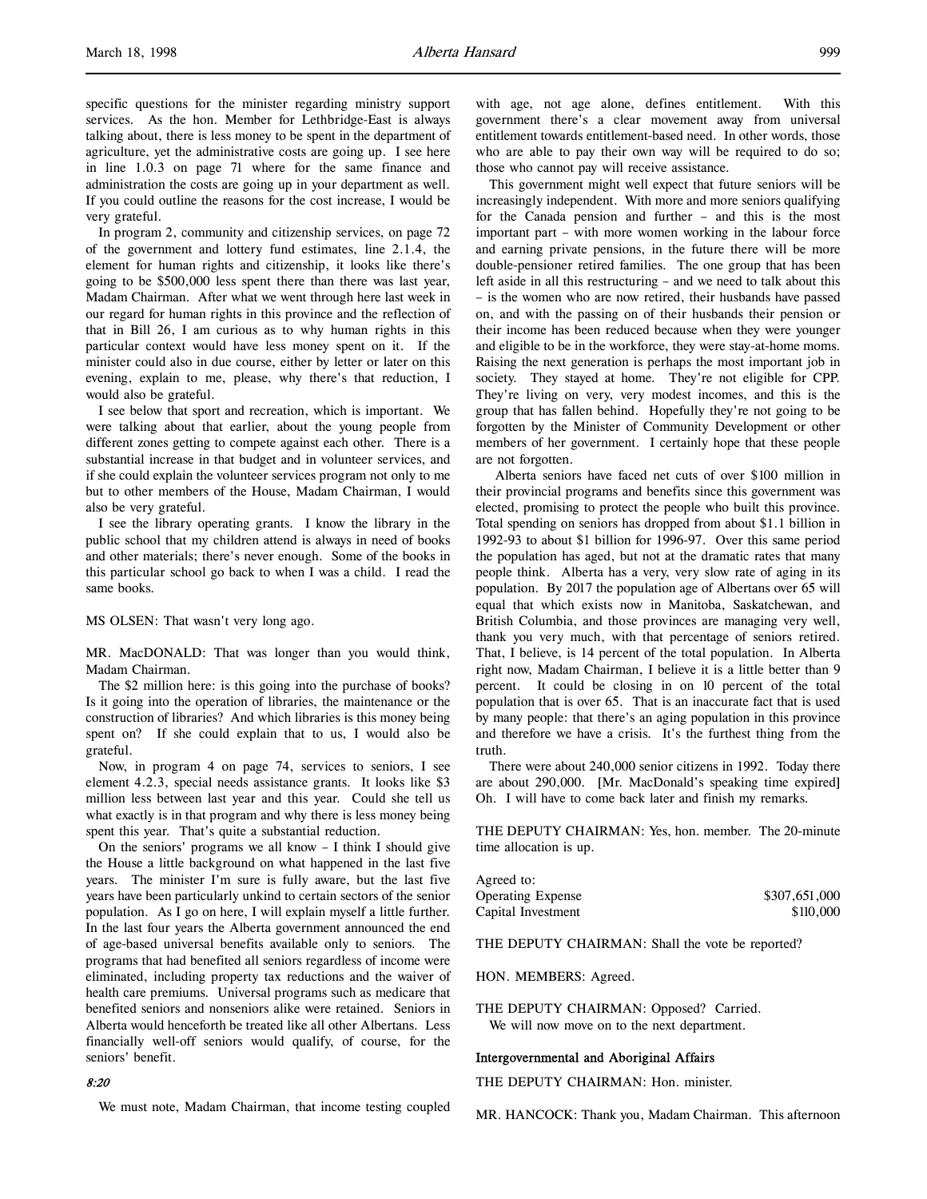specific questions for the minister regarding ministry support services. As the hon. Member for Lethbridge-East is always talking about, there is less money to be spent in the department of agriculture, yet the administrative costs are going up. I see here in line 1.0.3 on page 71 where for the same finance and administration the costs are going up in your department as well. If you could outline the reasons for the cost increase, I would be very grateful.

In program 2, community and citizenship services, on page 72 of the government and lottery fund estimates, line 2.1.4, the element for human rights and citizenship, it looks like there's going to be \$500,000 less spent there than there was last year, Madam Chairman. After what we went through here last week in our regard for human rights in this province and the reflection of that in Bill 26, I am curious as to why human rights in this particular context would have less money spent on it. If the minister could also in due course, either by letter or later on this evening, explain to me, please, why there's that reduction, I would also be grateful.

I see below that sport and recreation, which is important. We were talking about that earlier, about the young people from different zones getting to compete against each other. There is a substantial increase in that budget and in volunteer services, and if she could explain the volunteer services program not only to me but to other members of the House, Madam Chairman, I would also be very grateful.

I see the library operating grants. I know the library in the public school that my children attend is always in need of books and other materials; there's never enough. Some of the books in this particular school go back to when I was a child. I read the same books.

MS OLSEN: That wasn't very long ago.

MR. MacDONALD: That was longer than you would think, Madam Chairman.

The \$2 million here: is this going into the purchase of books? Is it going into the operation of libraries, the maintenance or the construction of libraries? And which libraries is this money being spent on? If she could explain that to us, I would also be grateful.

Now, in program 4 on page 74, services to seniors, I see element 4.2.3, special needs assistance grants. It looks like \$3 million less between last year and this year. Could she tell us what exactly is in that program and why there is less money being spent this year. That's quite a substantial reduction.

On the seniors' programs we all know – I think I should give the House a little background on what happened in the last five years. The minister I'm sure is fully aware, but the last five years have been particularly unkind to certain sectors of the senior population. As I go on here, I will explain myself a little further. In the last four years the Alberta government announced the end of age-based universal benefits available only to seniors. The programs that had benefited all seniors regardless of income were eliminated, including property tax reductions and the waiver of health care premiums. Universal programs such as medicare that benefited seniors and nonseniors alike were retained. Seniors in Alberta would henceforth be treated like all other Albertans. Less financially well-off seniors would qualify, of course, for the seniors' benefit.

## 8:20

We must note, Madam Chairman, that income testing coupled

with age, not age alone, defines entitlement. With this government there's a clear movement away from universal entitlement towards entitlement-based need. In other words, those who are able to pay their own way will be required to do so; those who cannot pay will receive assistance.

This government might well expect that future seniors will be increasingly independent. With more and more seniors qualifying for the Canada pension and further – and this is the most important part – with more women working in the labour force and earning private pensions, in the future there will be more double-pensioner retired families. The one group that has been left aside in all this restructuring – and we need to talk about this – is the women who are now retired, their husbands have passed on, and with the passing on of their husbands their pension or their income has been reduced because when they were younger and eligible to be in the workforce, they were stay-at-home moms. Raising the next generation is perhaps the most important job in society. They stayed at home. They're not eligible for CPP. They're living on very, very modest incomes, and this is the group that has fallen behind. Hopefully they're not going to be forgotten by the Minister of Community Development or other members of her government. I certainly hope that these people are not forgotten.

 Alberta seniors have faced net cuts of over \$100 million in their provincial programs and benefits since this government was elected, promising to protect the people who built this province. Total spending on seniors has dropped from about \$1.1 billion in 1992-93 to about \$1 billion for 1996-97. Over this same period the population has aged, but not at the dramatic rates that many people think. Alberta has a very, very slow rate of aging in its population. By 2017 the population age of Albertans over 65 will equal that which exists now in Manitoba, Saskatchewan, and British Columbia, and those provinces are managing very well, thank you very much, with that percentage of seniors retired. That, I believe, is 14 percent of the total population. In Alberta right now, Madam Chairman, I believe it is a little better than 9 percent. It could be closing in on 10 percent of the total population that is over 65. That is an inaccurate fact that is used by many people: that there's an aging population in this province and therefore we have a crisis. It's the furthest thing from the truth.

There were about 240,000 senior citizens in 1992. Today there are about 290,000. [Mr. MacDonald's speaking time expired] Oh. I will have to come back later and finish my remarks.

THE DEPUTY CHAIRMAN: Yes, hon. member. The 20-minute time allocation is up.

| Agreed to:               |               |
|--------------------------|---------------|
| <b>Operating Expense</b> | \$307,651,000 |
| Capital Investment       | \$110,000     |

THE DEPUTY CHAIRMAN: Shall the vote be reported?

HON. MEMBERS: Agreed.

THE DEPUTY CHAIRMAN: Opposed? Carried. We will now move on to the next department.

#### Intergovernmental and Aboriginal Affairs

THE DEPUTY CHAIRMAN: Hon. minister.

MR. HANCOCK: Thank you, Madam Chairman. This afternoon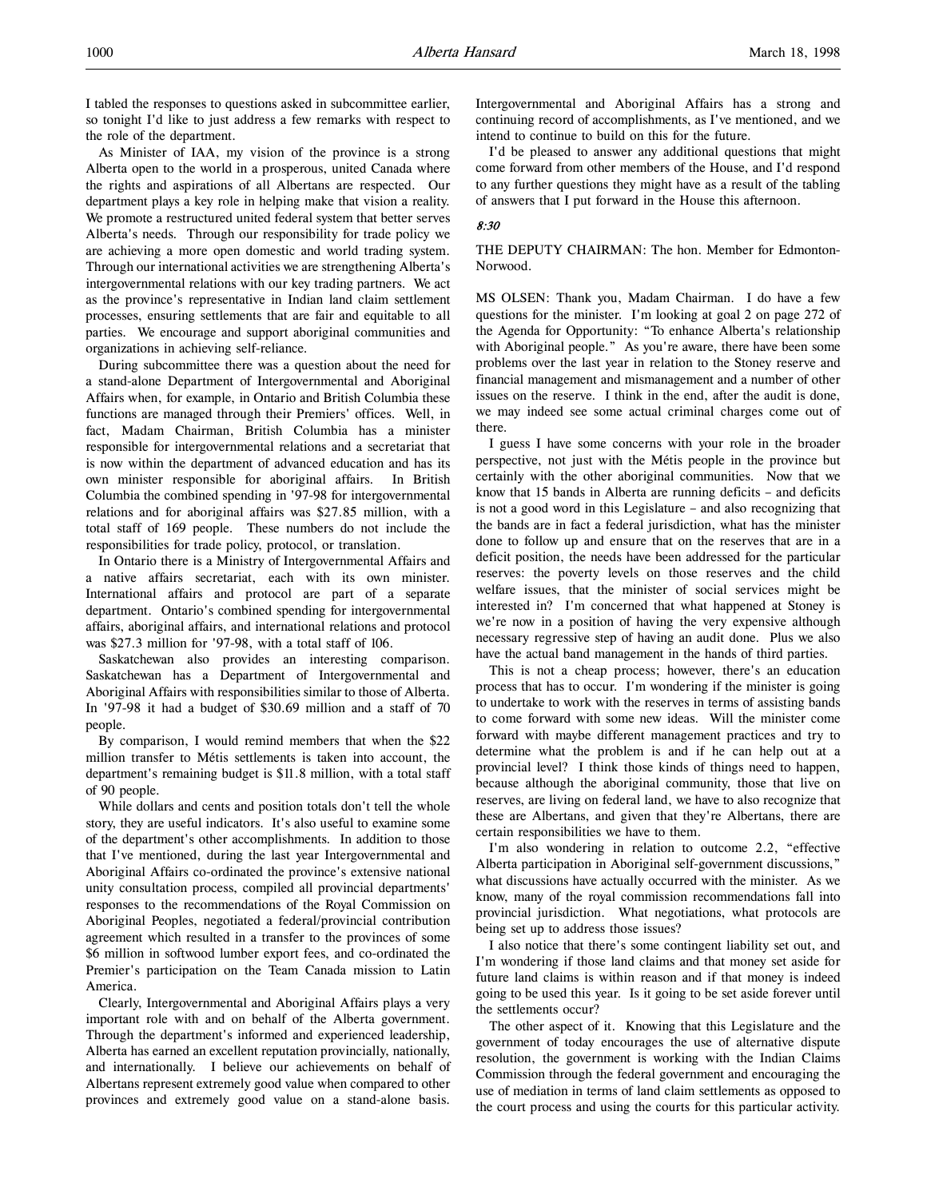I tabled the responses to questions asked in subcommittee earlier, so tonight I'd like to just address a few remarks with respect to the role of the department.

As Minister of IAA, my vision of the province is a strong Alberta open to the world in a prosperous, united Canada where the rights and aspirations of all Albertans are respected. Our department plays a key role in helping make that vision a reality. We promote a restructured united federal system that better serves Alberta's needs. Through our responsibility for trade policy we are achieving a more open domestic and world trading system. Through our international activities we are strengthening Alberta's intergovernmental relations with our key trading partners. We act as the province's representative in Indian land claim settlement processes, ensuring settlements that are fair and equitable to all parties. We encourage and support aboriginal communities and organizations in achieving self-reliance.

During subcommittee there was a question about the need for a stand-alone Department of Intergovernmental and Aboriginal Affairs when, for example, in Ontario and British Columbia these functions are managed through their Premiers' offices. Well, in fact, Madam Chairman, British Columbia has a minister responsible for intergovernmental relations and a secretariat that is now within the department of advanced education and has its own minister responsible for aboriginal affairs. In British Columbia the combined spending in '97-98 for intergovernmental relations and for aboriginal affairs was \$27.85 million, with a total staff of 169 people. These numbers do not include the responsibilities for trade policy, protocol, or translation.

In Ontario there is a Ministry of Intergovernmental Affairs and a native affairs secretariat, each with its own minister. International affairs and protocol are part of a separate department. Ontario's combined spending for intergovernmental affairs, aboriginal affairs, and international relations and protocol was \$27.3 million for '97-98, with a total staff of 106.

Saskatchewan also provides an interesting comparison. Saskatchewan has a Department of Intergovernmental and Aboriginal Affairs with responsibilities similar to those of Alberta. In '97-98 it had a budget of \$30.69 million and a staff of 70 people.

By comparison, I would remind members that when the \$22 million transfer to Métis settlements is taken into account, the department's remaining budget is \$11.8 million, with a total staff of 90 people.

While dollars and cents and position totals don't tell the whole story, they are useful indicators. It's also useful to examine some of the department's other accomplishments. In addition to those that I've mentioned, during the last year Intergovernmental and Aboriginal Affairs co-ordinated the province's extensive national unity consultation process, compiled all provincial departments' responses to the recommendations of the Royal Commission on Aboriginal Peoples, negotiated a federal/provincial contribution agreement which resulted in a transfer to the provinces of some \$6 million in softwood lumber export fees, and co-ordinated the Premier's participation on the Team Canada mission to Latin America.

Clearly, Intergovernmental and Aboriginal Affairs plays a very important role with and on behalf of the Alberta government. Through the department's informed and experienced leadership, Alberta has earned an excellent reputation provincially, nationally, and internationally. I believe our achievements on behalf of Albertans represent extremely good value when compared to other provinces and extremely good value on a stand-alone basis.

Intergovernmental and Aboriginal Affairs has a strong and continuing record of accomplishments, as I've mentioned, and we intend to continue to build on this for the future.

I'd be pleased to answer any additional questions that might come forward from other members of the House, and I'd respond to any further questions they might have as a result of the tabling of answers that I put forward in the House this afternoon.

## 8:30

### THE DEPUTY CHAIRMAN: The hon. Member for Edmonton-Norwood.

MS OLSEN: Thank you, Madam Chairman. I do have a few questions for the minister. I'm looking at goal 2 on page 272 of the Agenda for Opportunity: "To enhance Alberta's relationship with Aboriginal people." As you're aware, there have been some problems over the last year in relation to the Stoney reserve and financial management and mismanagement and a number of other issues on the reserve. I think in the end, after the audit is done, we may indeed see some actual criminal charges come out of there.

I guess I have some concerns with your role in the broader perspective, not just with the Métis people in the province but certainly with the other aboriginal communities. Now that we know that 15 bands in Alberta are running deficits – and deficits is not a good word in this Legislature – and also recognizing that the bands are in fact a federal jurisdiction, what has the minister done to follow up and ensure that on the reserves that are in a deficit position, the needs have been addressed for the particular reserves: the poverty levels on those reserves and the child welfare issues, that the minister of social services might be interested in? I'm concerned that what happened at Stoney is we're now in a position of having the very expensive although necessary regressive step of having an audit done. Plus we also have the actual band management in the hands of third parties.

This is not a cheap process; however, there's an education process that has to occur. I'm wondering if the minister is going to undertake to work with the reserves in terms of assisting bands to come forward with some new ideas. Will the minister come forward with maybe different management practices and try to determine what the problem is and if he can help out at a provincial level? I think those kinds of things need to happen, because although the aboriginal community, those that live on reserves, are living on federal land, we have to also recognize that these are Albertans, and given that they're Albertans, there are certain responsibilities we have to them.

I'm also wondering in relation to outcome 2.2, "effective Alberta participation in Aboriginal self-government discussions," what discussions have actually occurred with the minister. As we know, many of the royal commission recommendations fall into provincial jurisdiction. What negotiations, what protocols are being set up to address those issues?

I also notice that there's some contingent liability set out, and I'm wondering if those land claims and that money set aside for future land claims is within reason and if that money is indeed going to be used this year. Is it going to be set aside forever until the settlements occur?

The other aspect of it. Knowing that this Legislature and the government of today encourages the use of alternative dispute resolution, the government is working with the Indian Claims Commission through the federal government and encouraging the use of mediation in terms of land claim settlements as opposed to the court process and using the courts for this particular activity.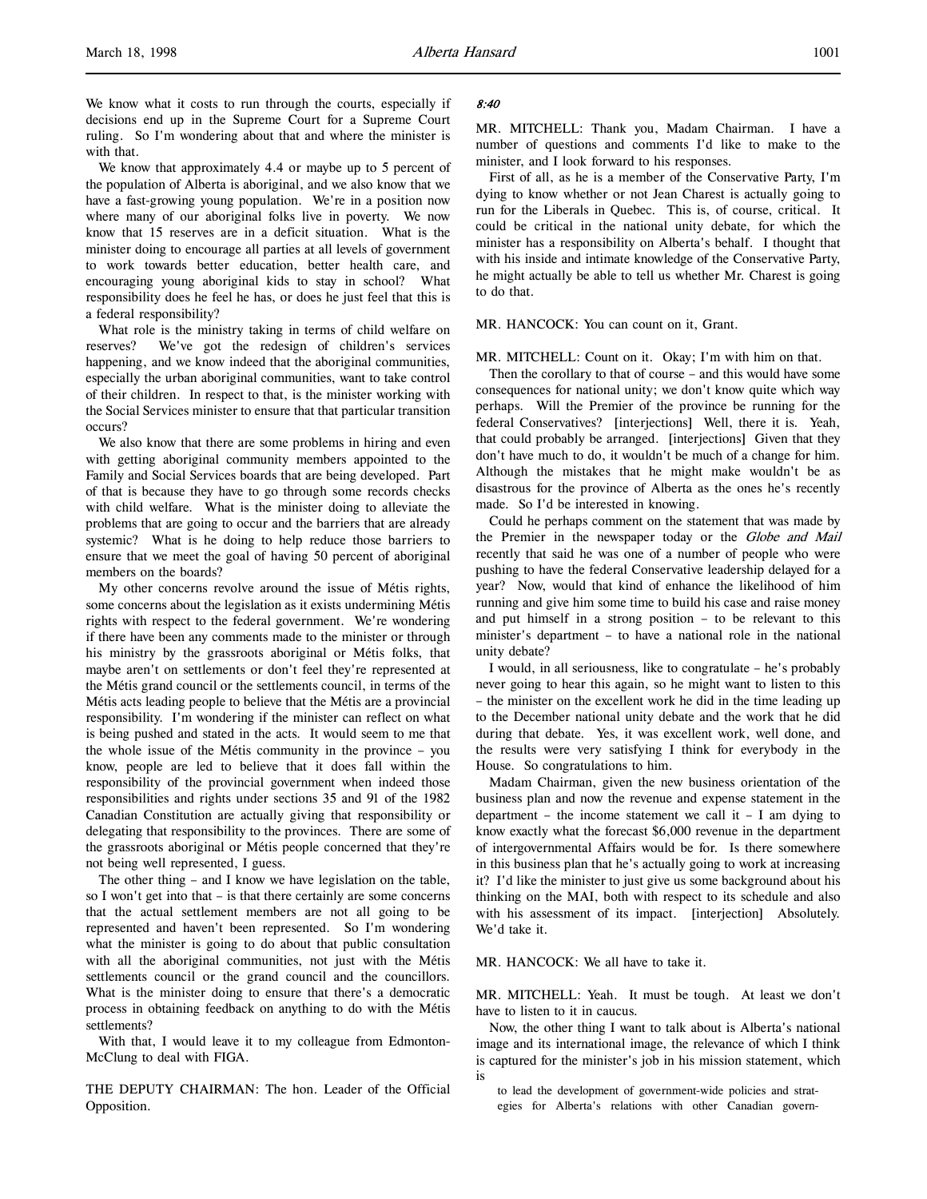We know what it costs to run through the courts, especially if decisions end up in the Supreme Court for a Supreme Court ruling. So I'm wondering about that and where the minister is with that.

We know that approximately 4.4 or maybe up to 5 percent of the population of Alberta is aboriginal, and we also know that we have a fast-growing young population. We're in a position now where many of our aboriginal folks live in poverty. We now know that 15 reserves are in a deficit situation. What is the minister doing to encourage all parties at all levels of government to work towards better education, better health care, and encouraging young aboriginal kids to stay in school? What responsibility does he feel he has, or does he just feel that this is a federal responsibility?

What role is the ministry taking in terms of child welfare on reserves? We've got the redesign of children's services happening, and we know indeed that the aboriginal communities, especially the urban aboriginal communities, want to take control of their children. In respect to that, is the minister working with the Social Services minister to ensure that that particular transition occurs?

We also know that there are some problems in hiring and even with getting aboriginal community members appointed to the Family and Social Services boards that are being developed. Part of that is because they have to go through some records checks with child welfare. What is the minister doing to alleviate the problems that are going to occur and the barriers that are already systemic? What is he doing to help reduce those barriers to ensure that we meet the goal of having 50 percent of aboriginal members on the boards?

My other concerns revolve around the issue of Métis rights, some concerns about the legislation as it exists undermining Métis rights with respect to the federal government. We're wondering if there have been any comments made to the minister or through his ministry by the grassroots aboriginal or Métis folks, that maybe aren't on settlements or don't feel they're represented at the Métis grand council or the settlements council, in terms of the Métis acts leading people to believe that the Métis are a provincial responsibility. I'm wondering if the minister can reflect on what is being pushed and stated in the acts. It would seem to me that the whole issue of the Métis community in the province – you know, people are led to believe that it does fall within the responsibility of the provincial government when indeed those responsibilities and rights under sections 35 and 91 of the 1982 Canadian Constitution are actually giving that responsibility or delegating that responsibility to the provinces. There are some of the grassroots aboriginal or Métis people concerned that they're not being well represented, I guess.

The other thing – and I know we have legislation on the table, so I won't get into that – is that there certainly are some concerns that the actual settlement members are not all going to be represented and haven't been represented. So I'm wondering what the minister is going to do about that public consultation with all the aboriginal communities, not just with the Métis settlements council or the grand council and the councillors. What is the minister doing to ensure that there's a democratic process in obtaining feedback on anything to do with the Métis settlements?

With that, I would leave it to my colleague from Edmonton-McClung to deal with FIGA.

THE DEPUTY CHAIRMAN: The hon. Leader of the Official Opposition.

### 8:40

MR. MITCHELL: Thank you, Madam Chairman. I have a number of questions and comments I'd like to make to the minister, and I look forward to his responses.

First of all, as he is a member of the Conservative Party, I'm dying to know whether or not Jean Charest is actually going to run for the Liberals in Quebec. This is, of course, critical. It could be critical in the national unity debate, for which the minister has a responsibility on Alberta's behalf. I thought that with his inside and intimate knowledge of the Conservative Party, he might actually be able to tell us whether Mr. Charest is going to do that.

MR. HANCOCK: You can count on it, Grant.

MR. MITCHELL: Count on it. Okay; I'm with him on that.

Then the corollary to that of course – and this would have some consequences for national unity; we don't know quite which way perhaps. Will the Premier of the province be running for the federal Conservatives? [interjections] Well, there it is. Yeah, that could probably be arranged. [interjections] Given that they don't have much to do, it wouldn't be much of a change for him. Although the mistakes that he might make wouldn't be as disastrous for the province of Alberta as the ones he's recently made. So I'd be interested in knowing.

Could he perhaps comment on the statement that was made by the Premier in the newspaper today or the Globe and Mail recently that said he was one of a number of people who were pushing to have the federal Conservative leadership delayed for a year? Now, would that kind of enhance the likelihood of him running and give him some time to build his case and raise money and put himself in a strong position – to be relevant to this minister's department – to have a national role in the national unity debate?

I would, in all seriousness, like to congratulate – he's probably never going to hear this again, so he might want to listen to this – the minister on the excellent work he did in the time leading up to the December national unity debate and the work that he did during that debate. Yes, it was excellent work, well done, and the results were very satisfying I think for everybody in the House. So congratulations to him.

Madam Chairman, given the new business orientation of the business plan and now the revenue and expense statement in the department – the income statement we call it – I am dying to know exactly what the forecast \$6,000 revenue in the department of intergovernmental Affairs would be for. Is there somewhere in this business plan that he's actually going to work at increasing it? I'd like the minister to just give us some background about his thinking on the MAI, both with respect to its schedule and also with his assessment of its impact. [interjection] Absolutely. We'd take it.

MR. HANCOCK: We all have to take it.

MR. MITCHELL: Yeah. It must be tough. At least we don't have to listen to it in caucus.

Now, the other thing I want to talk about is Alberta's national image and its international image, the relevance of which I think is captured for the minister's job in his mission statement, which is

to lead the development of government-wide policies and strategies for Alberta's relations with other Canadian govern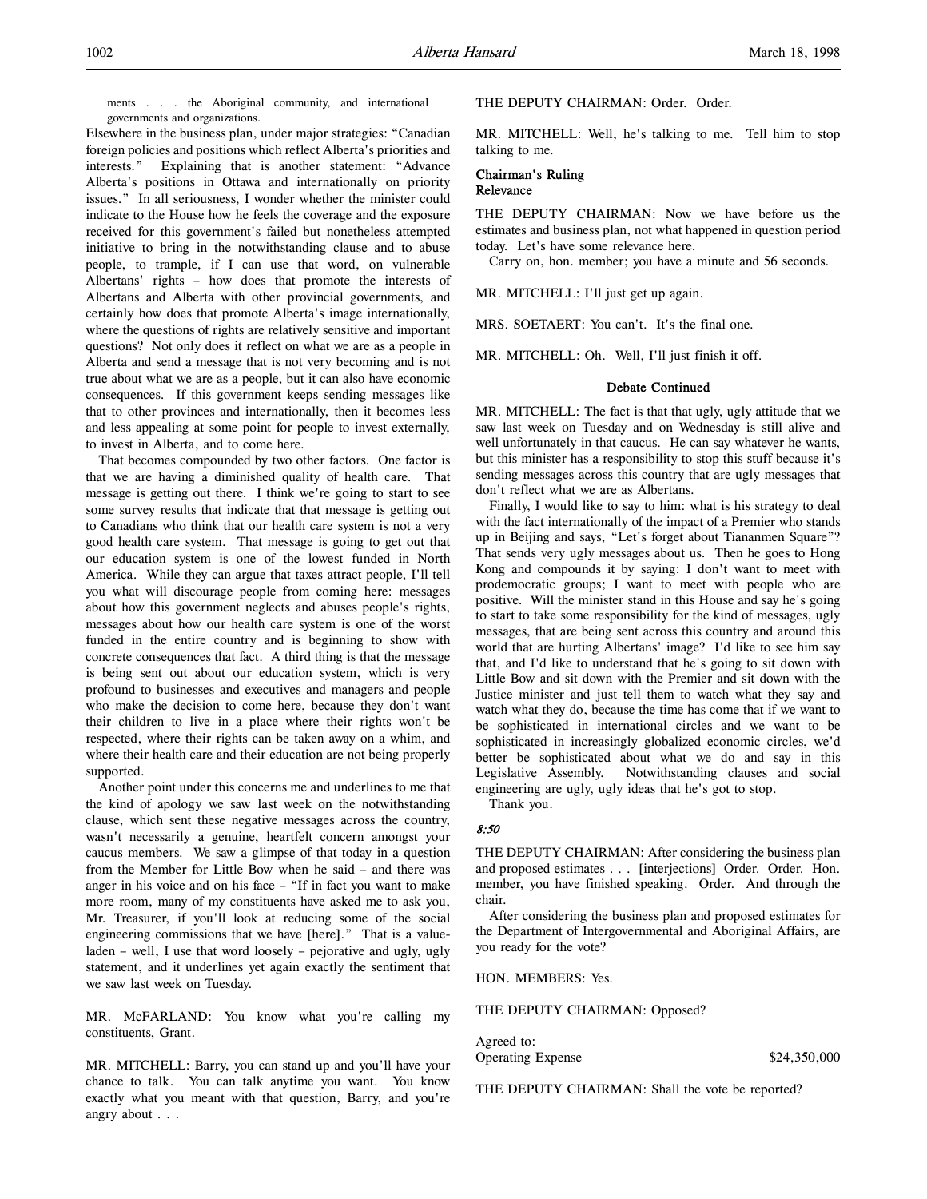ments . . . the Aboriginal community, and international governments and organizations.

Elsewhere in the business plan, under major strategies: "Canadian foreign policies and positions which reflect Alberta's priorities and interests." Explaining that is another statement: "Advance Alberta's positions in Ottawa and internationally on priority issues." In all seriousness, I wonder whether the minister could indicate to the House how he feels the coverage and the exposure received for this government's failed but nonetheless attempted initiative to bring in the notwithstanding clause and to abuse people, to trample, if I can use that word, on vulnerable Albertans' rights – how does that promote the interests of Albertans and Alberta with other provincial governments, and certainly how does that promote Alberta's image internationally, where the questions of rights are relatively sensitive and important questions? Not only does it reflect on what we are as a people in Alberta and send a message that is not very becoming and is not true about what we are as a people, but it can also have economic consequences. If this government keeps sending messages like that to other provinces and internationally, then it becomes less and less appealing at some point for people to invest externally, to invest in Alberta, and to come here.

That becomes compounded by two other factors. One factor is that we are having a diminished quality of health care. That message is getting out there. I think we're going to start to see some survey results that indicate that that message is getting out to Canadians who think that our health care system is not a very good health care system. That message is going to get out that our education system is one of the lowest funded in North America. While they can argue that taxes attract people, I'll tell you what will discourage people from coming here: messages about how this government neglects and abuses people's rights, messages about how our health care system is one of the worst funded in the entire country and is beginning to show with concrete consequences that fact. A third thing is that the message is being sent out about our education system, which is very profound to businesses and executives and managers and people who make the decision to come here, because they don't want their children to live in a place where their rights won't be respected, where their rights can be taken away on a whim, and where their health care and their education are not being properly supported.

Another point under this concerns me and underlines to me that the kind of apology we saw last week on the notwithstanding clause, which sent these negative messages across the country, wasn't necessarily a genuine, heartfelt concern amongst your caucus members. We saw a glimpse of that today in a question from the Member for Little Bow when he said – and there was anger in his voice and on his face – "If in fact you want to make more room, many of my constituents have asked me to ask you, Mr. Treasurer, if you'll look at reducing some of the social engineering commissions that we have [here]." That is a valueladen – well, I use that word loosely – pejorative and ugly, ugly statement, and it underlines yet again exactly the sentiment that we saw last week on Tuesday.

MR. McFARLAND: You know what you're calling my constituents, Grant.

MR. MITCHELL: Barry, you can stand up and you'll have your chance to talk. You can talk anytime you want. You know exactly what you meant with that question, Barry, and you're angry about . . .

### THE DEPUTY CHAIRMAN: Order. Order.

MR. MITCHELL: Well, he's talking to me. Tell him to stop talking to me.

### Chairman's Ruling Relevance

THE DEPUTY CHAIRMAN: Now we have before us the estimates and business plan, not what happened in question period today. Let's have some relevance here.

Carry on, hon. member; you have a minute and 56 seconds.

MR. MITCHELL: I'll just get up again.

MRS. SOETAERT: You can't. It's the final one.

MR. MITCHELL: Oh. Well, I'll just finish it off.

#### Debate Continued

MR. MITCHELL: The fact is that that ugly, ugly attitude that we saw last week on Tuesday and on Wednesday is still alive and well unfortunately in that caucus. He can say whatever he wants, but this minister has a responsibility to stop this stuff because it's sending messages across this country that are ugly messages that don't reflect what we are as Albertans.

Finally, I would like to say to him: what is his strategy to deal with the fact internationally of the impact of a Premier who stands up in Beijing and says, "Let's forget about Tiananmen Square"? That sends very ugly messages about us. Then he goes to Hong Kong and compounds it by saying: I don't want to meet with prodemocratic groups; I want to meet with people who are positive. Will the minister stand in this House and say he's going to start to take some responsibility for the kind of messages, ugly messages, that are being sent across this country and around this world that are hurting Albertans' image? I'd like to see him say that, and I'd like to understand that he's going to sit down with Little Bow and sit down with the Premier and sit down with the Justice minister and just tell them to watch what they say and watch what they do, because the time has come that if we want to be sophisticated in international circles and we want to be sophisticated in increasingly globalized economic circles, we'd better be sophisticated about what we do and say in this Legislative Assembly. Notwithstanding clauses and social engineering are ugly, ugly ideas that he's got to stop.

Thank you.

#### 8:50

THE DEPUTY CHAIRMAN: After considering the business plan and proposed estimates . . . [interjections] Order. Order. Hon. member, you have finished speaking. Order. And through the chair.

After considering the business plan and proposed estimates for the Department of Intergovernmental and Aboriginal Affairs, are you ready for the vote?

#### HON. MEMBERS: Yes.

THE DEPUTY CHAIRMAN: Opposed?

Agreed to: Operating Expense \$24,350,000

THE DEPUTY CHAIRMAN: Shall the vote be reported?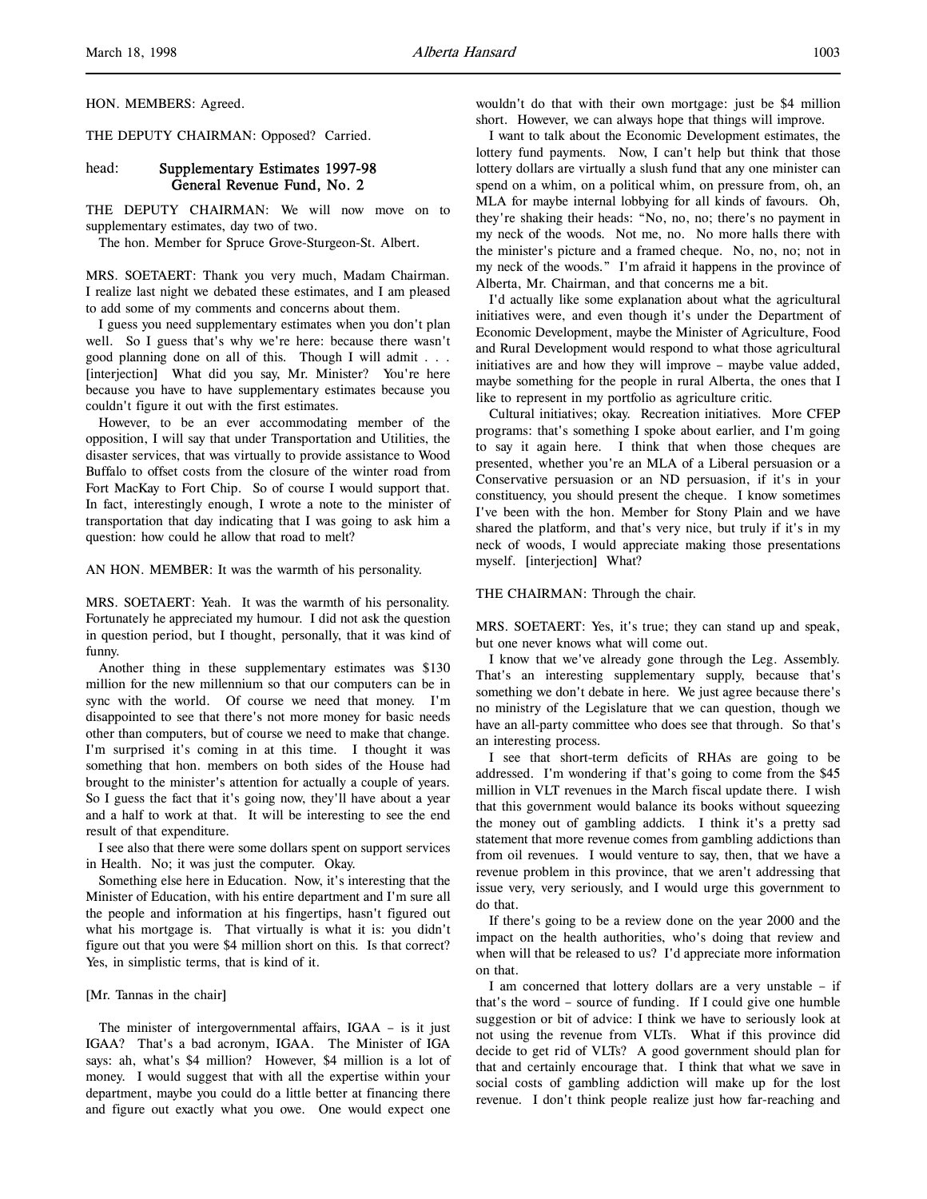HON. MEMBERS: Agreed.

THE DEPUTY CHAIRMAN: Opposed? Carried.

## head: Supplementary Estimates 1997-98 General Revenue Fund, No. 2

THE DEPUTY CHAIRMAN: We will now move on to supplementary estimates, day two of two.

The hon. Member for Spruce Grove-Sturgeon-St. Albert.

MRS. SOETAERT: Thank you very much, Madam Chairman. I realize last night we debated these estimates, and I am pleased to add some of my comments and concerns about them.

I guess you need supplementary estimates when you don't plan well. So I guess that's why we're here: because there wasn't good planning done on all of this. Though I will admit . . . [interjection] What did you say, Mr. Minister? You're here because you have to have supplementary estimates because you couldn't figure it out with the first estimates.

However, to be an ever accommodating member of the opposition, I will say that under Transportation and Utilities, the disaster services, that was virtually to provide assistance to Wood Buffalo to offset costs from the closure of the winter road from Fort MacKay to Fort Chip. So of course I would support that. In fact, interestingly enough, I wrote a note to the minister of transportation that day indicating that I was going to ask him a question: how could he allow that road to melt?

AN HON. MEMBER: It was the warmth of his personality.

MRS. SOETAERT: Yeah. It was the warmth of his personality. Fortunately he appreciated my humour. I did not ask the question in question period, but I thought, personally, that it was kind of funny.

Another thing in these supplementary estimates was \$130 million for the new millennium so that our computers can be in sync with the world. Of course we need that money. I'm disappointed to see that there's not more money for basic needs other than computers, but of course we need to make that change. I'm surprised it's coming in at this time. I thought it was something that hon. members on both sides of the House had brought to the minister's attention for actually a couple of years. So I guess the fact that it's going now, they'll have about a year and a half to work at that. It will be interesting to see the end result of that expenditure.

I see also that there were some dollars spent on support services in Health. No; it was just the computer. Okay.

Something else here in Education. Now, it's interesting that the Minister of Education, with his entire department and I'm sure all the people and information at his fingertips, hasn't figured out what his mortgage is. That virtually is what it is: you didn't figure out that you were \$4 million short on this. Is that correct? Yes, in simplistic terms, that is kind of it.

### [Mr. Tannas in the chair]

 The minister of intergovernmental affairs, IGAA – is it just IGAA? That's a bad acronym, IGAA. The Minister of IGA says: ah, what's \$4 million? However, \$4 million is a lot of money. I would suggest that with all the expertise within your department, maybe you could do a little better at financing there and figure out exactly what you owe. One would expect one

wouldn't do that with their own mortgage: just be \$4 million short. However, we can always hope that things will improve.

I want to talk about the Economic Development estimates, the lottery fund payments. Now, I can't help but think that those lottery dollars are virtually a slush fund that any one minister can spend on a whim, on a political whim, on pressure from, oh, an MLA for maybe internal lobbying for all kinds of favours. Oh, they're shaking their heads: "No, no, no; there's no payment in my neck of the woods. Not me, no. No more halls there with the minister's picture and a framed cheque. No, no, no; not in my neck of the woods." I'm afraid it happens in the province of Alberta, Mr. Chairman, and that concerns me a bit.

I'd actually like some explanation about what the agricultural initiatives were, and even though it's under the Department of Economic Development, maybe the Minister of Agriculture, Food and Rural Development would respond to what those agricultural initiatives are and how they will improve – maybe value added, maybe something for the people in rural Alberta, the ones that I like to represent in my portfolio as agriculture critic.

Cultural initiatives; okay. Recreation initiatives. More CFEP programs: that's something I spoke about earlier, and I'm going to say it again here. I think that when those cheques are presented, whether you're an MLA of a Liberal persuasion or a Conservative persuasion or an ND persuasion, if it's in your constituency, you should present the cheque. I know sometimes I've been with the hon. Member for Stony Plain and we have shared the platform, and that's very nice, but truly if it's in my neck of woods, I would appreciate making those presentations myself. [interjection] What?

#### THE CHAIRMAN: Through the chair.

MRS. SOETAERT: Yes, it's true; they can stand up and speak, but one never knows what will come out.

I know that we've already gone through the Leg. Assembly. That's an interesting supplementary supply, because that's something we don't debate in here. We just agree because there's no ministry of the Legislature that we can question, though we have an all-party committee who does see that through. So that's an interesting process.

I see that short-term deficits of RHAs are going to be addressed. I'm wondering if that's going to come from the \$45 million in VLT revenues in the March fiscal update there. I wish that this government would balance its books without squeezing the money out of gambling addicts. I think it's a pretty sad statement that more revenue comes from gambling addictions than from oil revenues. I would venture to say, then, that we have a revenue problem in this province, that we aren't addressing that issue very, very seriously, and I would urge this government to do that.

If there's going to be a review done on the year 2000 and the impact on the health authorities, who's doing that review and when will that be released to us? I'd appreciate more information on that.

I am concerned that lottery dollars are a very unstable – if that's the word – source of funding. If I could give one humble suggestion or bit of advice: I think we have to seriously look at not using the revenue from VLTs. What if this province did decide to get rid of VLTs? A good government should plan for that and certainly encourage that. I think that what we save in social costs of gambling addiction will make up for the lost revenue. I don't think people realize just how far-reaching and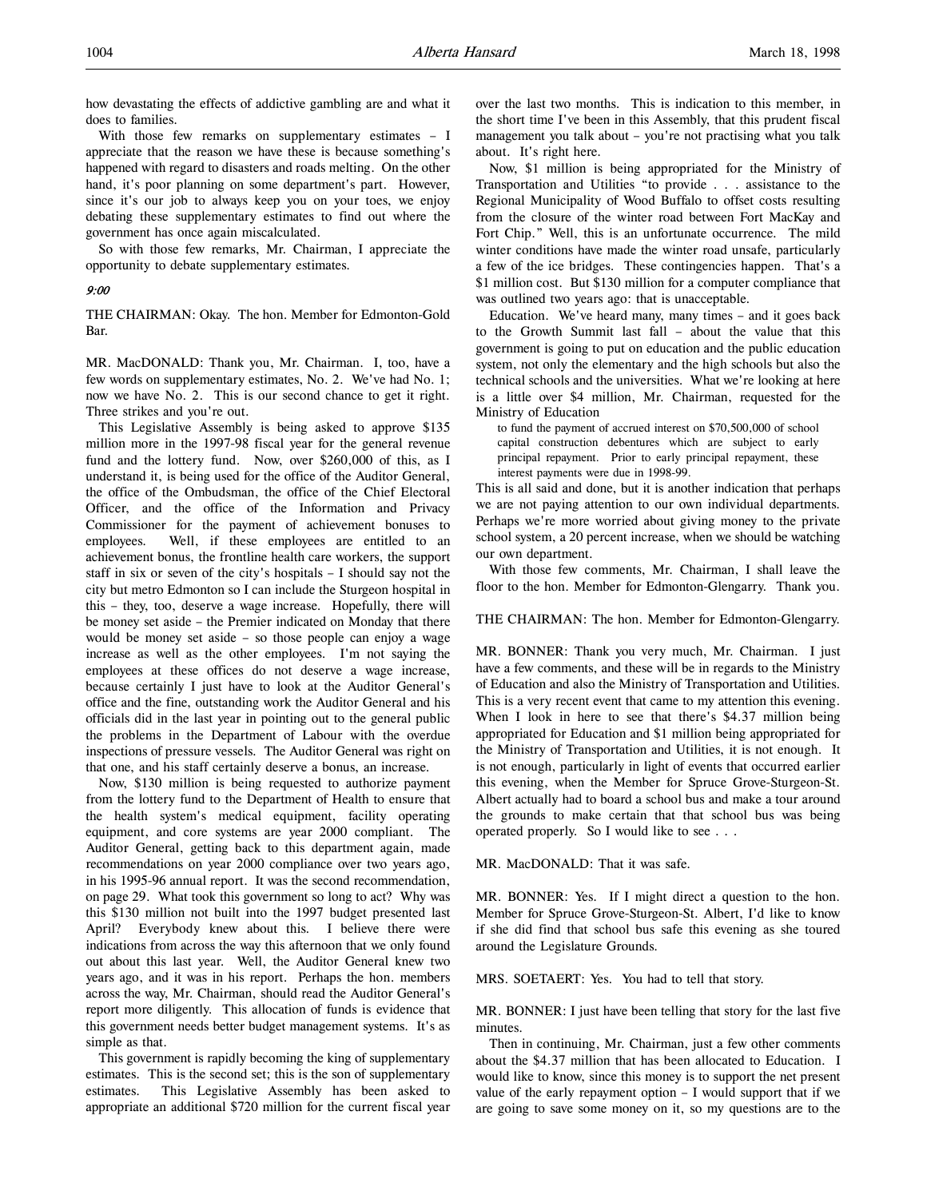how devastating the effects of addictive gambling are and what it does to families.

With those few remarks on supplementary estimates – I appreciate that the reason we have these is because something's happened with regard to disasters and roads melting. On the other hand, it's poor planning on some department's part. However, since it's our job to always keep you on your toes, we enjoy debating these supplementary estimates to find out where the government has once again miscalculated.

So with those few remarks, Mr. Chairman, I appreciate the opportunity to debate supplementary estimates.

## 9:00

THE CHAIRMAN: Okay. The hon. Member for Edmonton-Gold Bar.

MR. MacDONALD: Thank you, Mr. Chairman. I, too, have a few words on supplementary estimates, No. 2. We've had No. 1; now we have No. 2. This is our second chance to get it right. Three strikes and you're out.

This Legislative Assembly is being asked to approve \$135 million more in the 1997-98 fiscal year for the general revenue fund and the lottery fund. Now, over \$260,000 of this, as I understand it, is being used for the office of the Auditor General, the office of the Ombudsman, the office of the Chief Electoral Officer, and the office of the Information and Privacy Commissioner for the payment of achievement bonuses to employees. Well, if these employees are entitled to an achievement bonus, the frontline health care workers, the support staff in six or seven of the city's hospitals – I should say not the city but metro Edmonton so I can include the Sturgeon hospital in this – they, too, deserve a wage increase. Hopefully, there will be money set aside – the Premier indicated on Monday that there would be money set aside – so those people can enjoy a wage increase as well as the other employees. I'm not saying the employees at these offices do not deserve a wage increase, because certainly I just have to look at the Auditor General's office and the fine, outstanding work the Auditor General and his officials did in the last year in pointing out to the general public the problems in the Department of Labour with the overdue inspections of pressure vessels. The Auditor General was right on that one, and his staff certainly deserve a bonus, an increase.

Now, \$130 million is being requested to authorize payment from the lottery fund to the Department of Health to ensure that the health system's medical equipment, facility operating equipment, and core systems are year 2000 compliant. The Auditor General, getting back to this department again, made recommendations on year 2000 compliance over two years ago, in his 1995-96 annual report. It was the second recommendation, on page 29. What took this government so long to act? Why was this \$130 million not built into the 1997 budget presented last April? Everybody knew about this. I believe there were indications from across the way this afternoon that we only found out about this last year. Well, the Auditor General knew two years ago, and it was in his report. Perhaps the hon. members across the way, Mr. Chairman, should read the Auditor General's report more diligently. This allocation of funds is evidence that this government needs better budget management systems. It's as simple as that.

This government is rapidly becoming the king of supplementary estimates. This is the second set; this is the son of supplementary estimates. This Legislative Assembly has been asked to appropriate an additional \$720 million for the current fiscal year

over the last two months. This is indication to this member, in the short time I've been in this Assembly, that this prudent fiscal management you talk about – you're not practising what you talk about. It's right here.

Now, \$1 million is being appropriated for the Ministry of Transportation and Utilities "to provide . . . assistance to the Regional Municipality of Wood Buffalo to offset costs resulting from the closure of the winter road between Fort MacKay and Fort Chip." Well, this is an unfortunate occurrence. The mild winter conditions have made the winter road unsafe, particularly a few of the ice bridges. These contingencies happen. That's a \$1 million cost. But \$130 million for a computer compliance that was outlined two years ago: that is unacceptable.

Education. We've heard many, many times – and it goes back to the Growth Summit last fall – about the value that this government is going to put on education and the public education system, not only the elementary and the high schools but also the technical schools and the universities. What we're looking at here is a little over \$4 million, Mr. Chairman, requested for the Ministry of Education

to fund the payment of accrued interest on \$70,500,000 of school capital construction debentures which are subject to early principal repayment. Prior to early principal repayment, these interest payments were due in 1998-99.

This is all said and done, but it is another indication that perhaps we are not paying attention to our own individual departments. Perhaps we're more worried about giving money to the private school system, a 20 percent increase, when we should be watching our own department.

With those few comments, Mr. Chairman, I shall leave the floor to the hon. Member for Edmonton-Glengarry. Thank you.

### THE CHAIRMAN: The hon. Member for Edmonton-Glengarry.

MR. BONNER: Thank you very much, Mr. Chairman. I just have a few comments, and these will be in regards to the Ministry of Education and also the Ministry of Transportation and Utilities. This is a very recent event that came to my attention this evening. When I look in here to see that there's \$4.37 million being appropriated for Education and \$1 million being appropriated for the Ministry of Transportation and Utilities, it is not enough. It is not enough, particularly in light of events that occurred earlier this evening, when the Member for Spruce Grove-Sturgeon-St. Albert actually had to board a school bus and make a tour around the grounds to make certain that that school bus was being operated properly. So I would like to see . . .

MR. MacDONALD: That it was safe.

MR. BONNER: Yes. If I might direct a question to the hon. Member for Spruce Grove-Sturgeon-St. Albert, I'd like to know if she did find that school bus safe this evening as she toured around the Legislature Grounds.

MRS. SOETAERT: Yes. You had to tell that story.

MR. BONNER: I just have been telling that story for the last five minutes.

Then in continuing, Mr. Chairman, just a few other comments about the \$4.37 million that has been allocated to Education. I would like to know, since this money is to support the net present value of the early repayment option  $- I$  would support that if we are going to save some money on it, so my questions are to the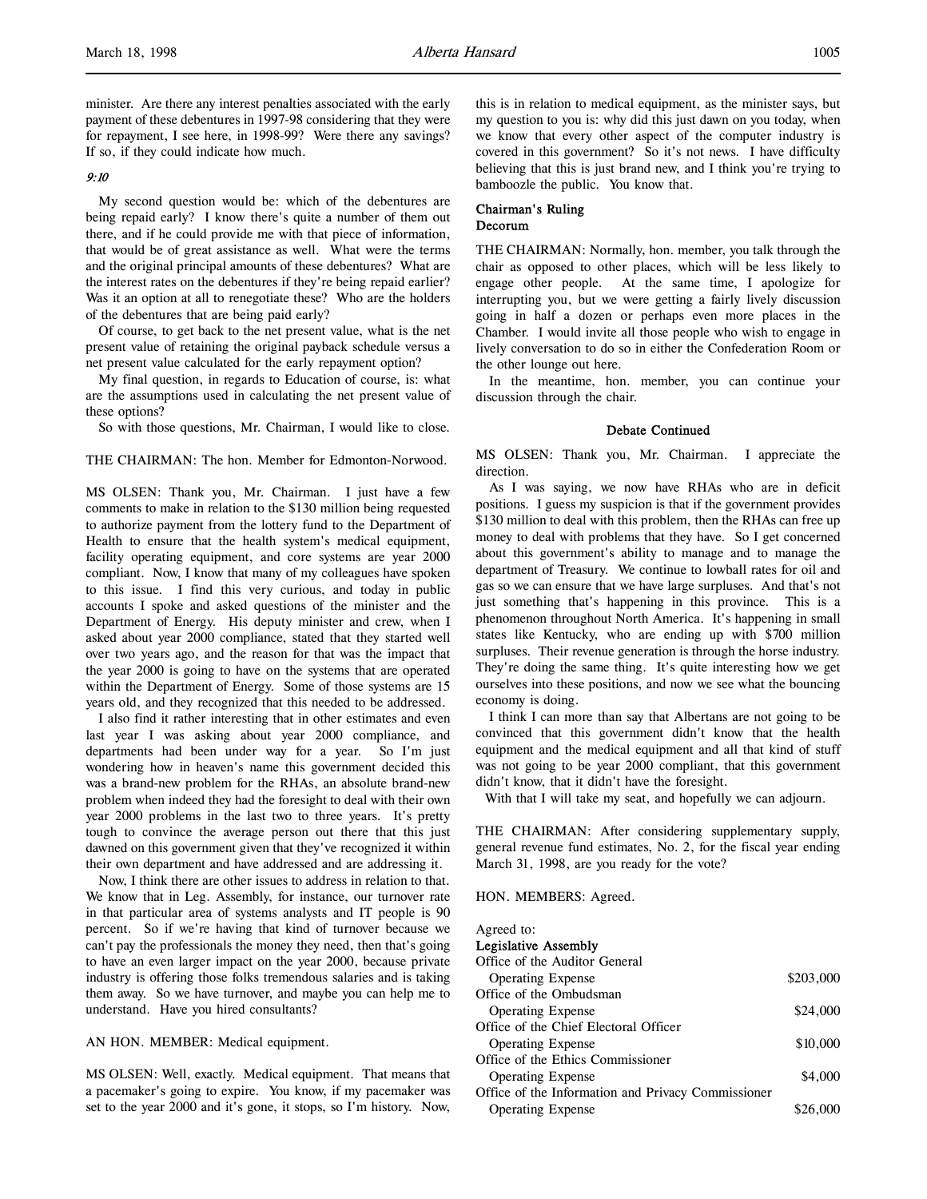minister. Are there any interest penalties associated with the early payment of these debentures in 1997-98 considering that they were for repayment, I see here, in 1998-99? Were there any savings? If so, if they could indicate how much.

## 9:10

My second question would be: which of the debentures are being repaid early? I know there's quite a number of them out there, and if he could provide me with that piece of information, that would be of great assistance as well. What were the terms and the original principal amounts of these debentures? What are the interest rates on the debentures if they're being repaid earlier? Was it an option at all to renegotiate these? Who are the holders of the debentures that are being paid early?

Of course, to get back to the net present value, what is the net present value of retaining the original payback schedule versus a net present value calculated for the early repayment option?

My final question, in regards to Education of course, is: what are the assumptions used in calculating the net present value of these options?

So with those questions, Mr. Chairman, I would like to close.

THE CHAIRMAN: The hon. Member for Edmonton-Norwood.

MS OLSEN: Thank you, Mr. Chairman. I just have a few comments to make in relation to the \$130 million being requested to authorize payment from the lottery fund to the Department of Health to ensure that the health system's medical equipment, facility operating equipment, and core systems are year 2000 compliant. Now, I know that many of my colleagues have spoken to this issue. I find this very curious, and today in public accounts I spoke and asked questions of the minister and the Department of Energy. His deputy minister and crew, when I asked about year 2000 compliance, stated that they started well over two years ago, and the reason for that was the impact that the year 2000 is going to have on the systems that are operated within the Department of Energy. Some of those systems are 15 years old, and they recognized that this needed to be addressed.

I also find it rather interesting that in other estimates and even last year I was asking about year 2000 compliance, and departments had been under way for a year. So I'm just wondering how in heaven's name this government decided this was a brand-new problem for the RHAs, an absolute brand-new problem when indeed they had the foresight to deal with their own year 2000 problems in the last two to three years. It's pretty tough to convince the average person out there that this just dawned on this government given that they've recognized it within their own department and have addressed and are addressing it.

Now, I think there are other issues to address in relation to that. We know that in Leg. Assembly, for instance, our turnover rate in that particular area of systems analysts and IT people is 90 percent. So if we're having that kind of turnover because we can't pay the professionals the money they need, then that's going to have an even larger impact on the year 2000, because private industry is offering those folks tremendous salaries and is taking them away. So we have turnover, and maybe you can help me to understand. Have you hired consultants?

AN HON. MEMBER: Medical equipment.

MS OLSEN: Well, exactly. Medical equipment. That means that a pacemaker's going to expire. You know, if my pacemaker was set to the year 2000 and it's gone, it stops, so I'm history. Now,

this is in relation to medical equipment, as the minister says, but my question to you is: why did this just dawn on you today, when we know that every other aspect of the computer industry is covered in this government? So it's not news. I have difficulty believing that this is just brand new, and I think you're trying to bamboozle the public. You know that.

### Chairman's Ruling Decorum

THE CHAIRMAN: Normally, hon. member, you talk through the chair as opposed to other places, which will be less likely to engage other people. At the same time, I apologize for interrupting you, but we were getting a fairly lively discussion going in half a dozen or perhaps even more places in the Chamber. I would invite all those people who wish to engage in lively conversation to do so in either the Confederation Room or the other lounge out here.

In the meantime, hon. member, you can continue your discussion through the chair.

#### Debate Continued

MS OLSEN: Thank you, Mr. Chairman. I appreciate the direction.

As I was saying, we now have RHAs who are in deficit positions. I guess my suspicion is that if the government provides \$130 million to deal with this problem, then the RHAs can free up money to deal with problems that they have. So I get concerned about this government's ability to manage and to manage the department of Treasury. We continue to lowball rates for oil and gas so we can ensure that we have large surpluses. And that's not just something that's happening in this province. This is a phenomenon throughout North America. It's happening in small states like Kentucky, who are ending up with \$700 million surpluses. Their revenue generation is through the horse industry. They're doing the same thing. It's quite interesting how we get ourselves into these positions, and now we see what the bouncing economy is doing.

I think I can more than say that Albertans are not going to be convinced that this government didn't know that the health equipment and the medical equipment and all that kind of stuff was not going to be year 2000 compliant, that this government didn't know, that it didn't have the foresight.

With that I will take my seat, and hopefully we can adjourn.

THE CHAIRMAN: After considering supplementary supply, general revenue fund estimates, No. 2, for the fiscal year ending March 31, 1998, are you ready for the vote?

HON. MEMBERS: Agreed.

#### Agreed to:

### Legislative Assembly

| Office of the Auditor General                      |           |
|----------------------------------------------------|-----------|
| <b>Operating Expense</b>                           | \$203,000 |
| Office of the Ombudsman                            |           |
| <b>Operating Expense</b>                           | \$24,000  |
| Office of the Chief Electoral Officer              |           |
| <b>Operating Expense</b>                           | \$10,000  |
| Office of the Ethics Commissioner                  |           |
| <b>Operating Expense</b>                           | \$4,000   |
| Office of the Information and Privacy Commissioner |           |
| <b>Operating Expense</b>                           | \$26,000  |